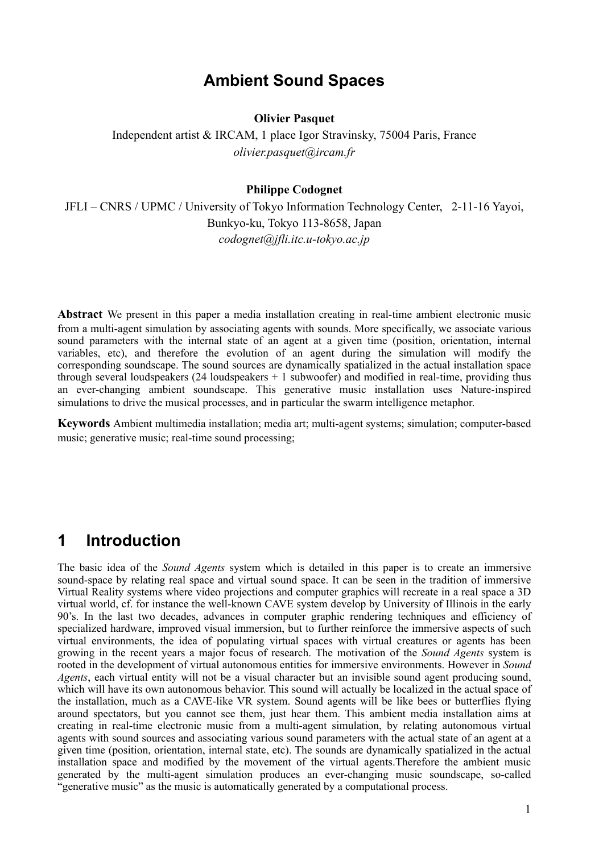## **Ambient Sound Spaces**

#### **Olivier Pasquet**

Independent artist & IRCAM, 1 place Igor Stravinsky, 75004 Paris, France *[olivier.pasquet@ircam.fr](mailto:olivier.pasquet@ircam.fr)*

#### **Philippe Codognet**

JFLI – CNRS / UPMC / University of Tokyo Information Technology Center, 2-11-16 Yayoi, Bunkyo-ku, Tokyo 113-8658, Japan *[codognet@jfli.itc.u-tokyo.ac.jp](mailto:codognet@jfli.itc.u-tokyo.ac.jp)*

**Abstract** We present in this paper a media installation creating in real-time ambient electronic music from a multi-agent simulation by associating agents with sounds. More specifically, we associate various sound parameters with the internal state of an agent at a given time (position, orientation, internal variables, etc), and therefore the evolution of an agent during the simulation will modify the corresponding soundscape. The sound sources are dynamically spatialized in the actual installation space through several loudspeakers  $(24 \text{ loudspeakers} + 1 \text{ subwoofer})$  and modified in real-time, providing thus an ever-changing ambient soundscape. This generative music installation uses Nature-inspired simulations to drive the musical processes, and in particular the swarm intelligence metaphor.

**Keywords** Ambient multimedia installation; media art; multi-agent systems; simulation; computer-based music; generative music; real-time sound processing;

## **1 Introduction**

The basic idea of the *Sound Agents* system which is detailed in this paper is to create an immersive sound-space by relating real space and virtual sound space. It can be seen in the tradition of immersive Virtual Reality systems where video projections and computer graphics will recreate in a real space a 3D virtual world, cf. for instance the well-known CAVE system develop by University of Illinois in the early 90's. In the last two decades, advances in computer graphic rendering techniques and efficiency of specialized hardware, improved visual immersion, but to further reinforce the immersive aspects of such virtual environments, the idea of populating virtual spaces with virtual creatures or agents has been growing in the recent years a major focus of research. The motivation of the *Sound Agents* system is rooted in the development of virtual autonomous entities for immersive environments. However in *Sound Agents*, each virtual entity will not be a visual character but an invisible sound agent producing sound, which will have its own autonomous behavior. This sound will actually be localized in the actual space of the installation, much as a CAVE-like VR system. Sound agents will be like bees or butterflies flying around spectators, but you cannot see them, just hear them. This ambient media installation aims at creating in real-time electronic music from a multi-agent simulation, by relating autonomous virtual agents with sound sources and associating various sound parameters with the actual state of an agent at a given time (position, orientation, internal state, etc). The sounds are dynamically spatialized in the actual installation space and modified by the movement of the virtual agents.Therefore the ambient music generated by the multi-agent simulation produces an ever-changing music soundscape, so-called "generative music" as the music is automatically generated by a computational process.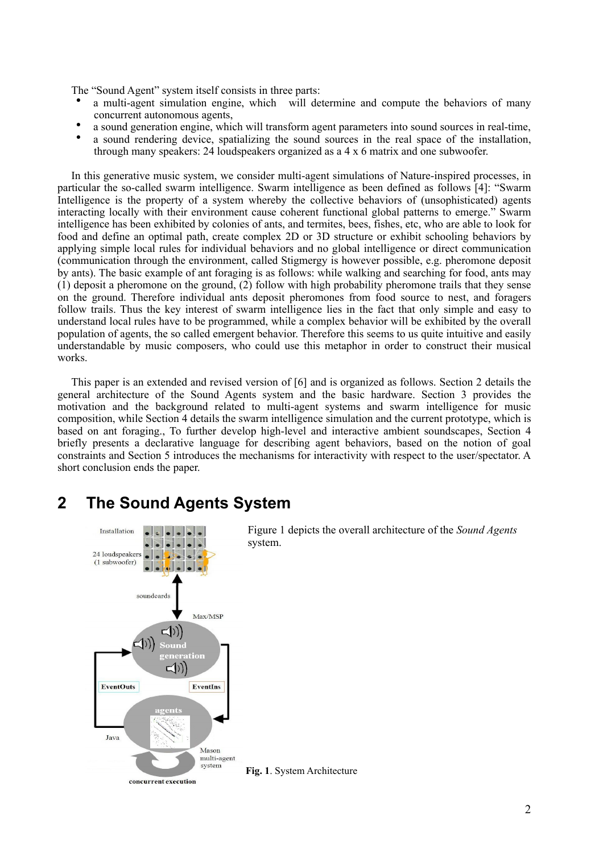The "Sound Agent" system itself consists in three parts:

- a multi-agent simulation engine, which will determine and compute the behaviors of many concurrent autonomous agents,
- a sound generation engine, which will transform agent parameters into sound sources in real-time, a sound rendering device, spatializing the sound sources in the real space of the installation,
- through many speakers: 24 loudspeakers organized as a 4 x 6 matrix and one subwoofer.

In this generative music system, we consider multi-agent simulations of Nature-inspired processes, in particular the so-called swarm intelligence. Swarm intelligence as been defined as follows [4]: "Swarm Intelligence is the property of a system whereby the collective behaviors of (unsophisticated) agents interacting locally with their environment cause coherent functional global patterns to emerge." Swarm intelligence has been exhibited by colonies of ants, and termites, bees, fishes, etc, who are able to look for food and define an optimal path, create complex 2D or 3D structure or exhibit schooling behaviors by applying simple local rules for individual behaviors and no global intelligence or direct communication (communication through the environment, called Stigmergy is however possible, e.g. pheromone deposit by ants). The basic example of ant foraging is as follows: while walking and searching for food, ants may (1) deposit a pheromone on the ground, (2) follow with high probability pheromone trails that they sense on the ground. Therefore individual ants deposit pheromones from food source to nest, and foragers follow trails. Thus the key interest of swarm intelligence lies in the fact that only simple and easy to understand local rules have to be programmed, while a complex behavior will be exhibited by the overall population of agents, the so called emergent behavior. Therefore this seems to us quite intuitive and easily understandable by music composers, who could use this metaphor in order to construct their musical works.

This paper is an extended and revised version of [6] and is organized as follows. Section 2 details the general architecture of the Sound Agents system and the basic hardware. Section 3 provides the motivation and the background related to multi-agent systems and swarm intelligence for music composition, while Section 4 details the swarm intelligence simulation and the current prototype, which is based on ant foraging., To further develop high-level and interactive ambient soundscapes, Section 4 briefly presents a declarative language for describing agent behaviors, based on the notion of goal constraints and Section 5 introduces the mechanisms for interactivity with respect to the user/spectator. A short conclusion ends the paper.

## **2 The Sound Agents System**



Figure 1 depicts the overall architecture of the *Sound Agents*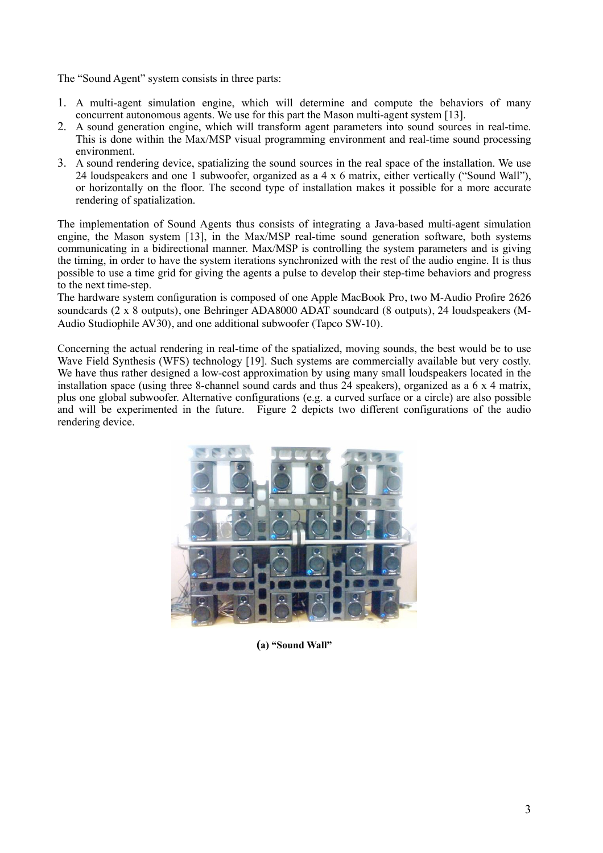The "Sound Agent" system consists in three parts:

- 1. A multi-agent simulation engine, which will determine and compute the behaviors of many concurrent autonomous agents. We use for this part the Mason multi-agent system [13].
- 2. A sound generation engine, which will transform agent parameters into sound sources in real-time. This is done within the Max/MSP visual programming environment and real-time sound processing environment.
- 3. A sound rendering device, spatializing the sound sources in the real space of the installation. We use 24 loudspeakers and one 1 subwoofer, organized as a 4 x 6 matrix, either vertically ("Sound Wall"), or horizontally on the floor. The second type of installation makes it possible for a more accurate rendering of spatialization.

The implementation of Sound Agents thus consists of integrating a Java-based multi-agent simulation engine, the Mason system [13], in the Max/MSP real-time sound generation software, both systems communicating in a bidirectional manner. Max/MSP is controlling the system parameters and is giving the timing, in order to have the system iterations synchronized with the rest of the audio engine. It is thus possible to use a time grid for giving the agents a pulse to develop their step-time behaviors and progress to the next time-step.

The hardware system configuration is composed of one Apple MacBook Pro, two M-Audio Profire 2626 soundcards (2 x 8 outputs), one Behringer ADA8000 ADAT soundcard (8 outputs), 24 loudspeakers (M-Audio Studiophile AV30), and one additional subwoofer (Tapco SW-10).

Concerning the actual rendering in real-time of the spatialized, moving sounds, the best would be to use Wave Field Synthesis (WFS) technology [19]. Such systems are commercially available but very costly. We have thus rather designed a low-cost approximation by using many small loudspeakers located in the installation space (using three 8-channel sound cards and thus 24 speakers), organized as a 6 x 4 matrix, plus one global subwoofer. Alternative configurations (e.g. a curved surface or a circle) are also possible and will be experimented in the future. Figure 2 depicts two different configurations of the audio rendering device.



**(a) "Sound Wall"**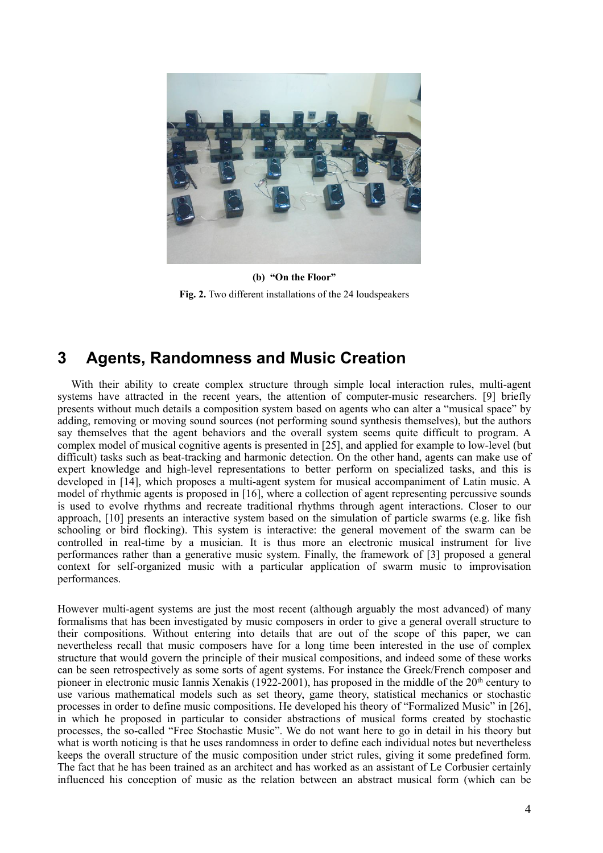

**(b) "On the Floor" Fig. 2.** Two different installations of the 24 loudspeakers

## **3 Agents, Randomness and Music Creation**

With their ability to create complex structure through simple local interaction rules, multi-agent systems have attracted in the recent years, the attention of computer-music researchers. [9] briefly presents without much details a composition system based on agents who can alter a "musical space" by adding, removing or moving sound sources (not performing sound synthesis themselves), but the authors say themselves that the agent behaviors and the overall system seems quite difficult to program. A complex model of musical cognitive agents is presented in [25], and applied for example to low-level (but difficult) tasks such as beat-tracking and harmonic detection. On the other hand, agents can make use of expert knowledge and high-level representations to better perform on specialized tasks, and this is developed in [14], which proposes a multi-agent system for musical accompaniment of Latin music. A model of rhythmic agents is proposed in [16], where a collection of agent representing percussive sounds is used to evolve rhythms and recreate traditional rhythms through agent interactions. Closer to our approach, [10] presents an interactive system based on the simulation of particle swarms (e.g. like fish schooling or bird flocking). This system is interactive: the general movement of the swarm can be controlled in real-time by a musician. It is thus more an electronic musical instrument for live performances rather than a generative music system. Finally, the framework of [3] proposed a general context for self-organized music with a particular application of swarm music to improvisation performances.

However multi-agent systems are just the most recent (although arguably the most advanced) of many formalisms that has been investigated by music composers in order to give a general overall structure to their compositions. Without entering into details that are out of the scope of this paper, we can nevertheless recall that music composers have for a long time been interested in the use of complex structure that would govern the principle of their musical compositions, and indeed some of these works can be seen retrospectively as some sorts of agent systems. For instance the Greek/French composer and pioneer in electronic music Iannis Xenakis (1922-2001), has proposed in the middle of the  $20<sup>th</sup>$  century to use various mathematical models such as set theory, game theory, statistical mechanics or stochastic processes in order to define music compositions. He developed his theory of "Formalized Music" in [26], in which he proposed in particular to consider abstractions of musical forms created by stochastic processes, the so-called "Free Stochastic Music". We do not want here to go in detail in his theory but what is worth noticing is that he uses randomness in order to define each individual notes but nevertheless keeps the overall structure of the music composition under strict rules, giving it some predefined form. The fact that he has been trained as an architect and has worked as an assistant of Le Corbusier certainly influenced his conception of music as the relation between an abstract musical form (which can be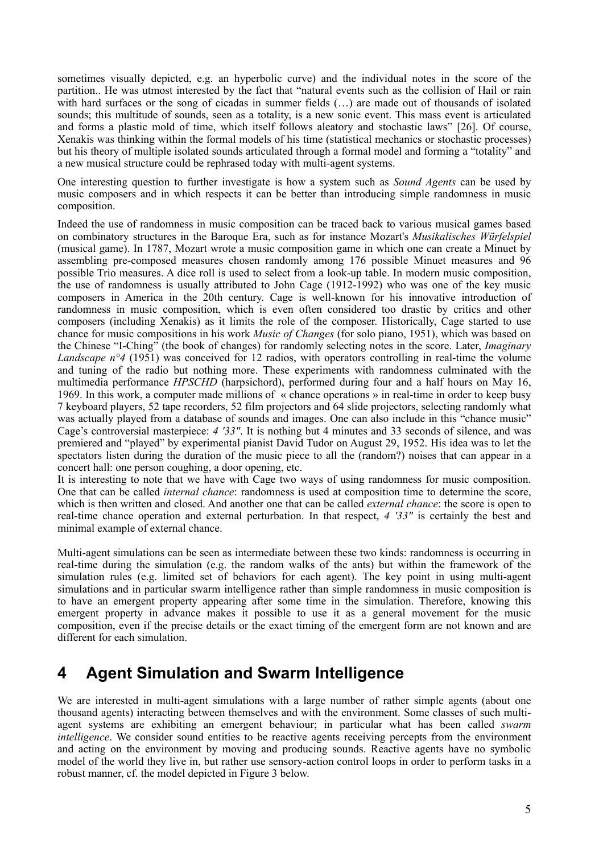sometimes visually depicted, e.g. an hyperbolic curve) and the individual notes in the score of the partition.. He was utmost interested by the fact that "natural events such as the collision of Hail or rain with hard surfaces or the song of cicadas in summer fields (…) are made out of thousands of isolated sounds; this multitude of sounds, seen as a totality, is a new sonic event. This mass event is articulated and forms a plastic mold of time, which itself follows aleatory and stochastic laws" [26]. Of course, Xenakis was thinking within the formal models of his time (statistical mechanics or stochastic processes) but his theory of multiple isolated sounds articulated through a formal model and forming a "totality" and a new musical structure could be rephrased today with multi-agent systems.

One interesting question to further investigate is how a system such as *Sound Agents* can be used by music composers and in which respects it can be better than introducing simple randomness in music composition.

Indeed the use of randomness in music composition can be traced back to various musical games based on combinatory structures in the Baroque Era, such as for instance Mozart's *Musikalisches Würfelspiel*  (musical game). In 1787, Mozart wrote a music composition game in which one can create a Minuet by assembling pre-composed measures chosen randomly among 176 possible Minuet measures and 96 possible Trio measures. A dice roll is used to select from a look-up table. In modern music composition, the use of randomness is usually attributed to John Cage (1912-1992) who was one of the key music composers in America in the 20th century. Cage is well-known for his innovative introduction of randomness in music composition, which is even often considered too drastic by critics and other composers (including Xenakis) as it limits the role of the composer. Historically, Cage started to use chance for music compositions in his work *Music of Changes* (for solo piano, 1951), which was based on the Chinese "I-Ching" (the book of changes) for randomly selecting notes in the score. Later, *Imaginary Landscape n°4* (1951) was conceived for 12 radios, with operators controlling in real-time the volume and tuning of the radio but nothing more. These experiments with randomness culminated with the multimedia performance *HPSCHD* (harpsichord), performed during four and a half hours on May 16, 1969. In this work, a computer made millions of « chance operations » in real-time in order to keep busy 7 keyboard players, 52 tape recorders, 52 film projectors and 64 slide projectors, selecting randomly what was actually played from a database of sounds and images. One can also include in this "chance music" Cage's controversial masterpiece: *4 '33"*. It is nothing but 4 minutes and 33 seconds of silence, and was premiered and "played" by experimental pianist David Tudor on August 29, 1952. His idea was to let the spectators listen during the duration of the music piece to all the (random?) noises that can appear in a concert hall: one person coughing, a door opening, etc.

It is interesting to note that we have with Cage two ways of using randomness for music composition. One that can be called *internal chance*: randomness is used at composition time to determine the score, which is then written and closed. And another one that can be called *external chance*: the score is open to real-time chance operation and external perturbation. In that respect, *4 '33"* is certainly the best and minimal example of external chance.

Multi-agent simulations can be seen as intermediate between these two kinds: randomness is occurring in real-time during the simulation (e.g. the random walks of the ants) but within the framework of the simulation rules (e.g. limited set of behaviors for each agent). The key point in using multi-agent simulations and in particular swarm intelligence rather than simple randomness in music composition is to have an emergent property appearing after some time in the simulation. Therefore, knowing this emergent property in advance makes it possible to use it as a general movement for the music composition, even if the precise details or the exact timing of the emergent form are not known and are different for each simulation.

# **4 Agent Simulation and Swarm Intelligence**

We are interested in multi-agent simulations with a large number of rather simple agents (about one thousand agents) interacting between themselves and with the environment. Some classes of such multiagent systems are exhibiting an emergent behaviour; in particular what has been called *swarm intelligence*. We consider sound entities to be reactive agents receiving percepts from the environment and acting on the environment by moving and producing sounds. Reactive agents have no symbolic model of the world they live in, but rather use sensory-action control loops in order to perform tasks in a robust manner, cf. the model depicted in Figure 3 below.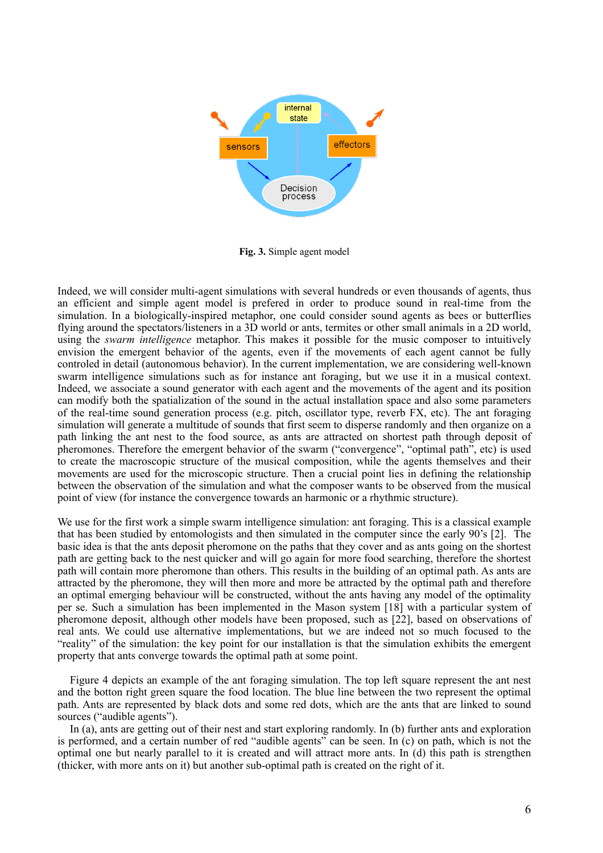

**Fig. 3.** Simple agent model

Indeed, we will consider multi-agent simulations with several hundreds or even thousands of agents, thus an efficient and simple agent model is prefered in order to produce sound in real-time from the simulation. In a biologically-inspired metaphor, one could consider sound agents as bees or butterflies flying around the spectators/listeners in a 3D world or ants, termites or other small animals in a 2D world, using the *swarm intelligence* metaphor. This makes it possible for the music composer to intuitively envision the emergent behavior of the agents, even if the movements of each agent cannot be fully controled in detail (autonomous behavior). In the current implementation, we are considering well-known swarm intelligence simulations such as for instance ant foraging, but we use it in a musical context. Indeed, we associate a sound generator with each agent and the movements of the agent and its position can modify both the spatialization of the sound in the actual installation space and also some parameters of the real-time sound generation process (e.g. pitch, oscillator type, reverb FX, etc). The ant foraging simulation will generate a multitude of sounds that first seem to disperse randomly and then organize on a path linking the ant nest to the food source, as ants are attracted on shortest path through deposit of pheromones. Therefore the emergent behavior of the swarm ("convergence", "optimal path", etc) is used to create the macroscopic structure of the musical composition, while the agents themselves and their movements are used for the microscopic structure. Then a crucial point lies in defining the relationship between the observation of the simulation and what the composer wants to be observed from the musical point of view (for instance the convergence towards an harmonic or a rhythmic structure).

We use for the first work a simple swarm intelligence simulation: ant foraging. This is a classical example that has been studied by entomologists and then simulated in the computer since the early 90's [2]. The basic idea is that the ants deposit pheromone on the paths that they cover and as ants going on the shortest path are getting back to the nest quicker and will go again for more food searching, therefore the shortest path will contain more pheromone than others. This results in the building of an optimal path. As ants are attracted by the pheromone, they will then more and more be attracted by the optimal path and therefore an optimal emerging behaviour will be constructed, without the ants having any model of the optimality per se. Such a simulation has been implemented in the Mason system [18] with a particular system of pheromone deposit, although other models have been proposed, such as [22], based on observations of real ants. We could use alternative implementations, but we are indeed not so much focused to the "reality" of the simulation: the key point for our installation is that the simulation exhibits the emergent property that ants converge towards the optimal path at some point.

Figure 4 depicts an example of the ant foraging simulation. The top left square represent the ant nest and the botton right green square the food location. The blue line between the two represent the optimal path. Ants are represented by black dots and some red dots, which are the ants that are linked to sound sources ("audible agents").

In (a), ants are getting out of their nest and start exploring randomly. In (b) further ants and exploration is performed, and a certain number of red "audible agents" can be seen. In (c) on path, which is not the optimal one but nearly parallel to it is created and will attract more ants. In (d) this path is strengthen (thicker, with more ants on it) but another sub-optimal path is created on the right of it.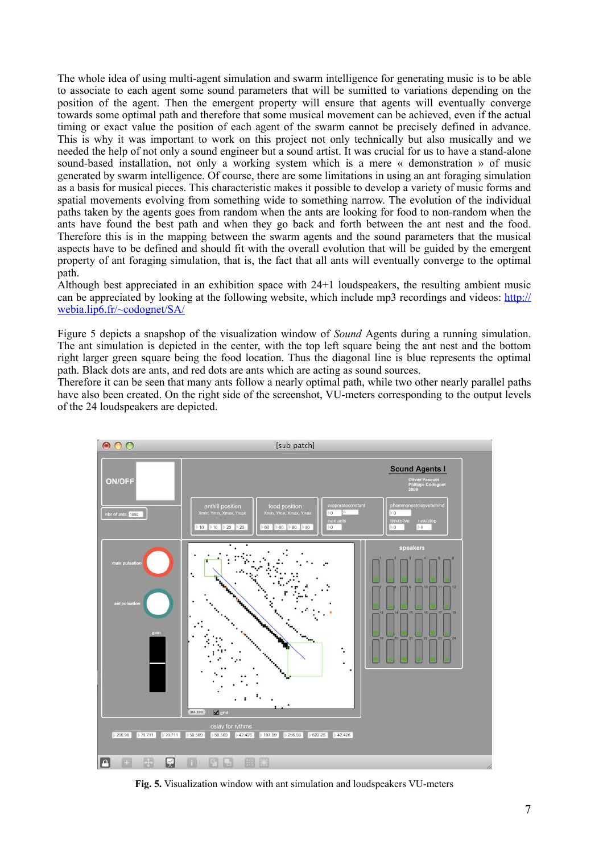The whole idea of using multi-agent simulation and swarm intelligence for generating music is to be able to associate to each agent some sound parameters that will be sumitted to variations depending on the position of the agent. Then the emergent property will ensure that agents will eventually converge towards some optimal path and therefore that some musical movement can be achieved, even if the actual timing or exact value the position of each agent of the swarm cannot be precisely defined in advance. This is why it was important to work on this project not only technically but also musically and we needed the help of not only a sound engineer but a sound artist. It was crucial for us to have a stand-alone sound-based installation, not only a working system which is a mere « demonstration » of music generated by swarm intelligence. Of course, there are some limitations in using an ant foraging simulation as a basis for musical pieces. This characteristic makes it possible to develop a variety of music forms and spatial movements evolving from something wide to something narrow. The evolution of the individual paths taken by the agents goes from random when the ants are looking for food to non-random when the ants have found the best path and when they go back and forth between the ant nest and the food. Therefore this is in the mapping between the swarm agents and the sound parameters that the musical aspects have to be defined and should fit with the overall evolution that will be guided by the emergent property of ant foraging simulation, that is, the fact that all ants will eventually converge to the optimal path.

Although best appreciated in an exhibition space with 24+1 loudspeakers, the resulting ambient music can be appreciated by looking at the following website, which include mp3 recordings and videos: [http://](http://webia.lip6.fr/~codognet/SA/) [webia.lip6.fr/~codognet/SA/](http://webia.lip6.fr/~codognet/SA/)

Figure 5 depicts a snapshop of the visualization window of *Sound* Agents during a running simulation. The ant simulation is depicted in the center, with the top left square being the ant nest and the bottom right larger green square being the food location. Thus the diagonal line is blue represents the optimal path. Black dots are ants, and red dots are ants which are acting as sound sources.

Therefore it can be seen that many ants follow a nearly optimal path, while two other nearly parallel paths have also been created. On the right side of the screenshot, VU-meters corresponding to the output levels of the 24 loudspeakers are depicted.



**Fig. 5.** Visualization window with ant simulation and loudspeakers VU-meters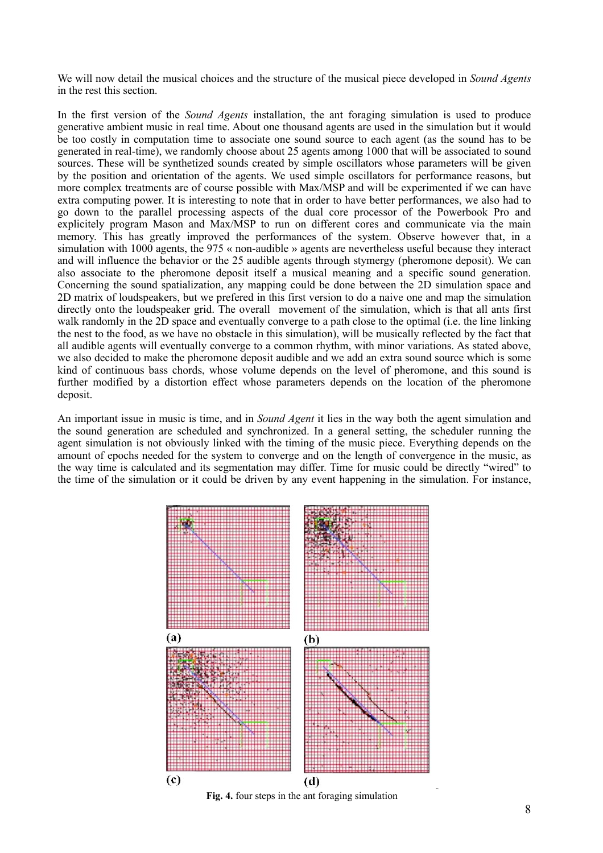We will now detail the musical choices and the structure of the musical piece developed in *Sound Agents*  in the rest this section.

In the first version of the *Sound Agents* installation, the ant foraging simulation is used to produce generative ambient music in real time. About one thousand agents are used in the simulation but it would be too costly in computation time to associate one sound source to each agent (as the sound has to be generated in real-time), we randomly choose about 25 agents among 1000 that will be associated to sound sources. These will be synthetized sounds created by simple oscillators whose parameters will be given by the position and orientation of the agents. We used simple oscillators for performance reasons, but more complex treatments are of course possible with Max/MSP and will be experimented if we can have extra computing power. It is interesting to note that in order to have better performances, we also had to go down to the parallel processing aspects of the dual core processor of the Powerbook Pro and explicitely program Mason and Max/MSP to run on different cores and communicate via the main memory. This has greatly improved the performances of the system. Observe however that, in a simulation with 1000 agents, the 975 « non-audible » agents are nevertheless useful because they interact and will influence the behavior or the 25 audible agents through stymergy (pheromone deposit). We can also associate to the pheromone deposit itself a musical meaning and a specific sound generation. Concerning the sound spatialization, any mapping could be done between the 2D simulation space and 2D matrix of loudspeakers, but we prefered in this first version to do a naive one and map the simulation directly onto the loudspeaker grid. The overall movement of the simulation, which is that all ants first walk randomly in the 2D space and eventually converge to a path close to the optimal (i.e. the line linking the nest to the food, as we have no obstacle in this simulation), will be musically reflected by the fact that all audible agents will eventually converge to a common rhythm, with minor variations. As stated above, we also decided to make the pheromone deposit audible and we add an extra sound source which is some kind of continuous bass chords, whose volume depends on the level of pheromone, and this sound is further modified by a distortion effect whose parameters depends on the location of the pheromone deposit.

An important issue in music is time, and in *Sound Agent* it lies in the way both the agent simulation and the sound generation are scheduled and synchronized. In a general setting, the scheduler running the agent simulation is not obviously linked with the timing of the music piece. Everything depends on the amount of epochs needed for the system to converge and on the length of convergence in the music, as the way time is calculated and its segmentation may differ. Time for music could be directly "wired" to the time of the simulation or it could be driven by any event happening in the simulation. For instance,



**Fig. 4.** four steps in the ant foraging simulation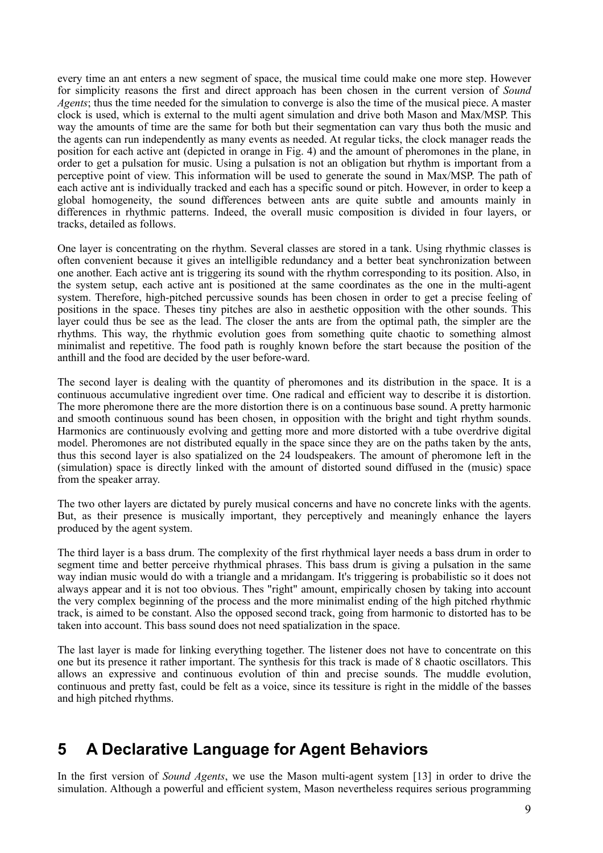every time an ant enters a new segment of space, the musical time could make one more step. However for simplicity reasons the first and direct approach has been chosen in the current version of *Sound Agents*; thus the time needed for the simulation to converge is also the time of the musical piece. A master clock is used, which is external to the multi agent simulation and drive both Mason and Max/MSP. This way the amounts of time are the same for both but their segmentation can vary thus both the music and the agents can run independently as many events as needed. At regular ticks, the clock manager reads the position for each active ant (depicted in orange in Fig. 4) and the amount of pheromones in the plane, in order to get a pulsation for music. Using a pulsation is not an obligation but rhythm is important from a perceptive point of view. This information will be used to generate the sound in Max/MSP. The path of each active ant is individually tracked and each has a specific sound or pitch. However, in order to keep a global homogeneity, the sound differences between ants are quite subtle and amounts mainly in differences in rhythmic patterns. Indeed, the overall music composition is divided in four layers, or tracks, detailed as follows.

One layer is concentrating on the rhythm. Several classes are stored in a tank. Using rhythmic classes is often convenient because it gives an intelligible redundancy and a better beat synchronization between one another. Each active ant is triggering its sound with the rhythm corresponding to its position. Also, in the system setup, each active ant is positioned at the same coordinates as the one in the multi-agent system. Therefore, high-pitched percussive sounds has been chosen in order to get a precise feeling of positions in the space. Theses tiny pitches are also in aesthetic opposition with the other sounds. This layer could thus be see as the lead. The closer the ants are from the optimal path, the simpler are the rhythms. This way, the rhythmic evolution goes from something quite chaotic to something almost minimalist and repetitive. The food path is roughly known before the start because the position of the anthill and the food are decided by the user before-ward.

The second layer is dealing with the quantity of pheromones and its distribution in the space. It is a continuous accumulative ingredient over time. One radical and efficient way to describe it is distortion. The more pheromone there are the more distortion there is on a continuous base sound. A pretty harmonic and smooth continuous sound has been chosen, in opposition with the bright and tight rhythm sounds. Harmonics are continuously evolving and getting more and more distorted with a tube overdrive digital model. Pheromones are not distributed equally in the space since they are on the paths taken by the ants, thus this second layer is also spatialized on the 24 loudspeakers. The amount of pheromone left in the (simulation) space is directly linked with the amount of distorted sound diffused in the (music) space from the speaker array.

The two other layers are dictated by purely musical concerns and have no concrete links with the agents. But, as their presence is musically important, they perceptively and meaningly enhance the layers produced by the agent system.

The third layer is a bass drum. The complexity of the first rhythmical layer needs a bass drum in order to segment time and better perceive rhythmical phrases. This bass drum is giving a pulsation in the same way indian music would do with a triangle and a mridangam. It's triggering is probabilistic so it does not always appear and it is not too obvious. Thes "right" amount, empirically chosen by taking into account the very complex beginning of the process and the more minimalist ending of the high pitched rhythmic track, is aimed to be constant. Also the opposed second track, going from harmonic to distorted has to be taken into account. This bass sound does not need spatialization in the space.

The last layer is made for linking everything together. The listener does not have to concentrate on this one but its presence it rather important. The synthesis for this track is made of 8 chaotic oscillators. This allows an expressive and continuous evolution of thin and precise sounds. The muddle evolution, continuous and pretty fast, could be felt as a voice, since its tessiture is right in the middle of the basses and high pitched rhythms.

# **5 A Declarative Language for Agent Behaviors**

In the first version of *Sound Agents*, we use the Mason multi-agent system [13] in order to drive the simulation. Although a powerful and efficient system, Mason nevertheless requires serious programming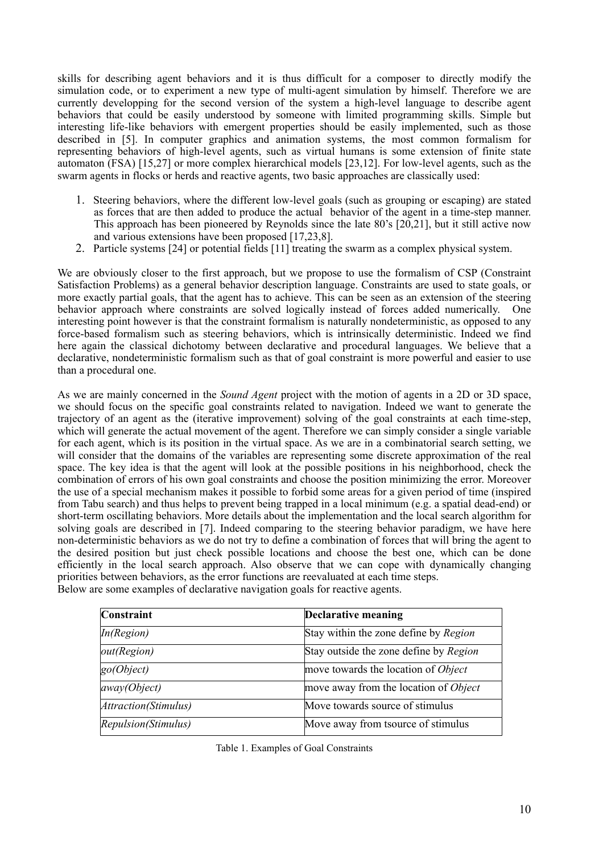skills for describing agent behaviors and it is thus difficult for a composer to directly modify the simulation code, or to experiment a new type of multi-agent simulation by himself. Therefore we are currently developping for the second version of the system a high-level language to describe agent behaviors that could be easily understood by someone with limited programming skills. Simple but interesting life-like behaviors with emergent properties should be easily implemented, such as those described in [5]. In computer graphics and animation systems, the most common formalism for representing behaviors of high-level agents, such as virtual humans is some extension of finite state automaton (FSA) [15,27] or more complex hierarchical models [23,12]. For low-level agents, such as the swarm agents in flocks or herds and reactive agents, two basic approaches are classically used:

- 1. Steering behaviors, where the different low-level goals (such as grouping or escaping) are stated as forces that are then added to produce the actual behavior of the agent in a time-step manner. This approach has been pioneered by Reynolds since the late 80's [20,21], but it still active now and various extensions have been proposed [17,23,8].
- 2. Particle systems [24] or potential fields [11] treating the swarm as a complex physical system.

We are obviously closer to the first approach, but we propose to use the formalism of CSP (Constraint Satisfaction Problems) as a general behavior description language. Constraints are used to state goals, or more exactly partial goals, that the agent has to achieve. This can be seen as an extension of the steering behavior approach where constraints are solved logically instead of forces added numerically. One interesting point however is that the constraint formalism is naturally nondeterministic, as opposed to any force-based formalism such as steering behaviors, which is intrinsically deterministic. Indeed we find here again the classical dichotomy between declarative and procedural languages. We believe that a declarative, nondeterministic formalism such as that of goal constraint is more powerful and easier to use than a procedural one.

As we are mainly concerned in the *Sound Agent* project with the motion of agents in a 2D or 3D space, we should focus on the specific goal constraints related to navigation. Indeed we want to generate the trajectory of an agent as the (iterative improvement) solving of the goal constraints at each time-step, which will generate the actual movement of the agent. Therefore we can simply consider a single variable for each agent, which is its position in the virtual space. As we are in a combinatorial search setting, we will consider that the domains of the variables are representing some discrete approximation of the real space. The key idea is that the agent will look at the possible positions in his neighborhood, check the combination of errors of his own goal constraints and choose the position minimizing the error. Moreover the use of a special mechanism makes it possible to forbid some areas for a given period of time (inspired from Tabu search) and thus helps to prevent being trapped in a local minimum (e.g. a spatial dead-end) or short-term oscillating behaviors. More details about the implementation and the local search algorithm for solving goals are described in [7]. Indeed comparing to the steering behavior paradigm, we have here non-deterministic behaviors as we do not try to define a combination of forces that will bring the agent to the desired position but just check possible locations and choose the best one, which can be done efficiently in the local search approach. Also observe that we can cope with dynamically changing priorities between behaviors, as the error functions are reevaluated at each time steps. Below are some examples of declarative navigation goals for reactive agents.

| Constraint           | Declarative meaning                          |
|----------------------|----------------------------------------------|
| In(Region)           | Stay within the zone define by Region        |
| out(Region)          | Stay outside the zone define by Region       |
| $g_0(Object)$        | move towards the location of Object          |
| away(Object)         | move away from the location of <i>Object</i> |
| Attraction(Stimulus) | Move towards source of stimulus              |
| Repulsion(Stimulus)  | Move away from tsource of stimulus           |

Table 1. Examples of Goal Constraints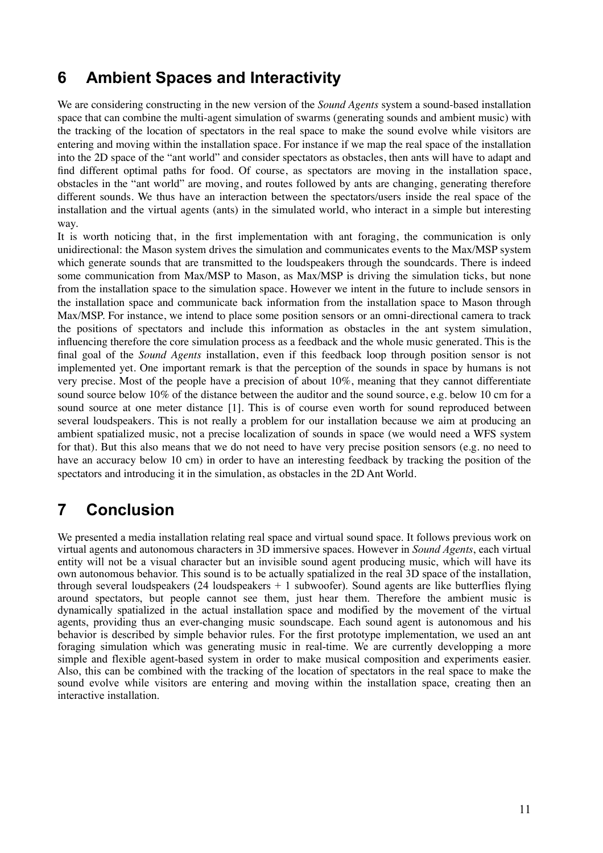## **6 Ambient Spaces and Interactivity**

We are considering constructing in the new version of the *Sound Agents* system a sound-based installation space that can combine the multi-agent simulation of swarms (generating sounds and ambient music) with the tracking of the location of spectators in the real space to make the sound evolve while visitors are entering and moving within the installation space. For instance if we map the real space of the installation into the 2D space of the "ant world" and consider spectators as obstacles, then ants will have to adapt and find different optimal paths for food. Of course, as spectators are moving in the installation space, obstacles in the "ant world" are moving, and routes followed by ants are changing, generating therefore different sounds. We thus have an interaction between the spectators/users inside the real space of the installation and the virtual agents (ants) in the simulated world, who interact in a simple but interesting way.

It is worth noticing that, in the first implementation with ant foraging, the communication is only unidirectional: the Mason system drives the simulation and communicates events to the Max/MSP system which generate sounds that are transmitted to the loudspeakers through the soundcards. There is indeed some communication from Max/MSP to Mason, as Max/MSP is driving the simulation ticks, but none from the installation space to the simulation space. However we intent in the future to include sensors in the installation space and communicate back information from the installation space to Mason through Max/MSP. For instance, we intend to place some position sensors or an omni-directional camera to track the positions of spectators and include this information as obstacles in the ant system simulation, influencing therefore the core simulation process as a feedback and the whole music generated. This is the final goal of the *Sound Agents* installation, even if this feedback loop through position sensor is not implemented yet. One important remark is that the perception of the sounds in space by humans is not very precise. Most of the people have a precision of about 10%, meaning that they cannot differentiate sound source below 10% of the distance between the auditor and the sound source, e.g. below 10 cm for a sound source at one meter distance [1]. This is of course even worth for sound reproduced between several loudspeakers. This is not really a problem for our installation because we aim at producing an ambient spatialized music, not a precise localization of sounds in space (we would need a WFS system for that). But this also means that we do not need to have very precise position sensors (e.g. no need to have an accuracy below 10 cm) in order to have an interesting feedback by tracking the position of the spectators and introducing it in the simulation, as obstacles in the 2D Ant World.

# **7 Conclusion**

We presented a media installation relating real space and virtual sound space. It follows previous work on virtual agents and autonomous characters in 3D immersive spaces. However in *Sound Agents*, each virtual entity will not be a visual character but an invisible sound agent producing music, which will have its own autonomous behavior. This sound is to be actually spatialized in the real 3D space of the installation, through several loudspeakers  $(24 \text{ loudspeakers} + 1 \text{ subwoofer})$ . Sound agents are like butterflies flying around spectators, but people cannot see them, just hear them. Therefore the ambient music is dynamically spatialized in the actual installation space and modified by the movement of the virtual agents, providing thus an ever-changing music soundscape. Each sound agent is autonomous and his behavior is described by simple behavior rules. For the first prototype implementation, we used an ant foraging simulation which was generating music in real-time. We are currently developping a more simple and flexible agent-based system in order to make musical composition and experiments easier. Also, this can be combined with the tracking of the location of spectators in the real space to make the sound evolve while visitors are entering and moving within the installation space, creating then an interactive installation.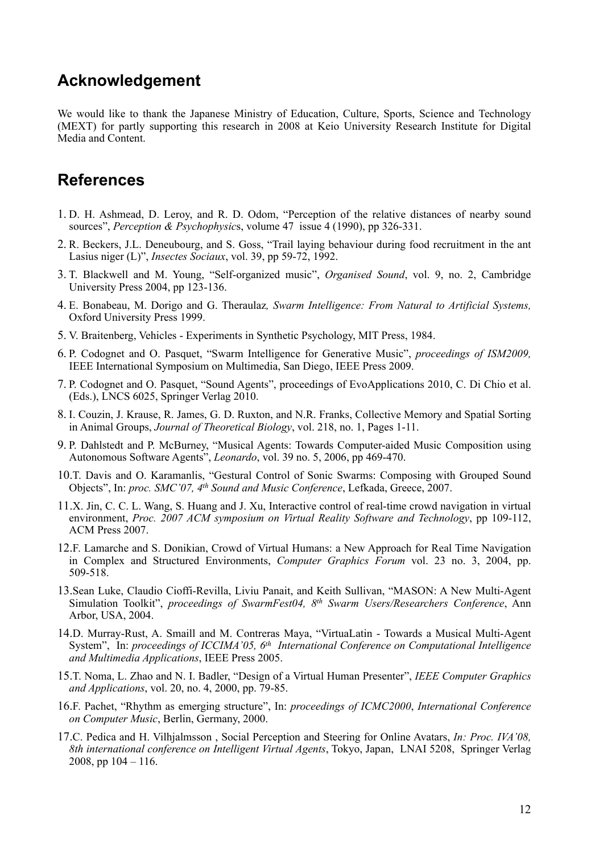### **Acknowledgement**

We would like to thank the Japanese Ministry of Education, Culture, Sports, Science and Technology (MEXT) for partly supporting this research in 2008 at Keio University Research Institute for Digital Media and Content.

#### **References**

- 1. D. H. Ashmead, D. Leroy, and R. D. Odom, "Perception of the relative distances of nearby sound sources", *Perception & Psychophysic*s, volume 47 issue 4 (1990), pp 326-331.
- 2. R. Beckers, J.L. Deneubourg, and S. Goss, "Trail laying behaviour during food recruitment in the ant Lasius niger (L)", *Insectes Sociaux*, vol. 39, pp 59-72, 1992.
- 3. T. Blackwell and M. Young, "Self-organized music", *Organised Sound*, vol. 9, no. 2, Cambridge University Press 2004, pp 123-136.
- 4. E. Bonabeau, M. Dorigo and G. Theraulaz*, Swarm Intelligence: From Natural to Artificial Systems,*  Oxford University Press 1999.
- 5. V. Braitenberg, Vehicles Experiments in Synthetic Psychology, MIT Press, 1984.
- 6. P. Codognet and O. Pasquet, "Swarm Intelligence for Generative Music", *proceedings of ISM2009,*  IEEE International Symposium on Multimedia, San Diego, IEEE Press 2009.
- 7. P. Codognet and O. Pasquet, "Sound Agents", proceedings of EvoApplications 2010, C. Di Chio et al. (Eds.), LNCS 6025, Springer Verlag 2010.
- 8. I. Couzin, J. Krause, R. James, G. D. Ruxton, and N.R. Franks, Collective Memory and Spatial Sorting in Animal Groups, *Journal of Theoretical Biology*, vol. 218, no. 1, Pages 1-11.
- 9. P. Dahlstedt and P. McBurney, "Musical Agents: Towards Computer-aided Music Composition using Autonomous Software Agents", *Leonardo*, vol. 39 no. 5, 2006, pp 469-470.
- 10.T. Davis and O. Karamanlis, "Gestural Control of Sonic Swarms: Composing with Grouped Sound Objects", In: *proc. SMC'07, 4th Sound and Music Conference*, Lefkada, Greece, 2007.
- 11.X. Jin, C. C. L. Wang, S. Huang and J. Xu, Interactive control of real-time crowd navigation in virtual environment, *Proc. 2007 ACM symposium on Virtual Reality Software and Technology*, pp 109-112, ACM Press 2007.
- 12.F. Lamarche and S. Donikian, Crowd of Virtual Humans: a New Approach for Real Time Navigation in Complex and Structured Environments, *Computer Graphics Forum* vol. 23 no. 3, 2004, pp. 509-518.
- 13.Sean Luke, Claudio Cioffi-Revilla, Liviu Panait, and Keith Sullivan, "MASON: A New Multi-Agent Simulation Toolkit", *proceedings of SwarmFest04, 8th Swarm Users/Researchers Conference*, Ann Arbor, USA, 2004.
- 14.D. Murray-Rust, A. Smaill and M. Contreras Maya, "VirtuaLatin Towards a Musical Multi-Agent System", In: *proceedings of ICCIMA'05, 6<sup>th</sup> International Conference on Computational Intelligence and Multimedia Applications*, IEEE Press 2005.
- 15.T. Noma, L. Zhao and N. I. Badler, "Design of a Virtual Human Presenter", *IEEE Computer Graphics and Applications*, vol. 20, no. 4, 2000, pp. 79-85.
- 16.F. Pachet, "Rhythm as emerging structure", In: *proceedings of ICMC2000*, *International Conference on Computer Music*, Berlin, Germany, 2000.
- 17.C. Pedica and H. Vilhjalmsson , Social Perception and Steering for Online Avatars, *In: Proc. IVA'08, 8th international conference on Intelligent Virtual Agents*, Tokyo, Japan, LNAI 5208, Springer Verlag 2008, pp  $104 - 116$ .